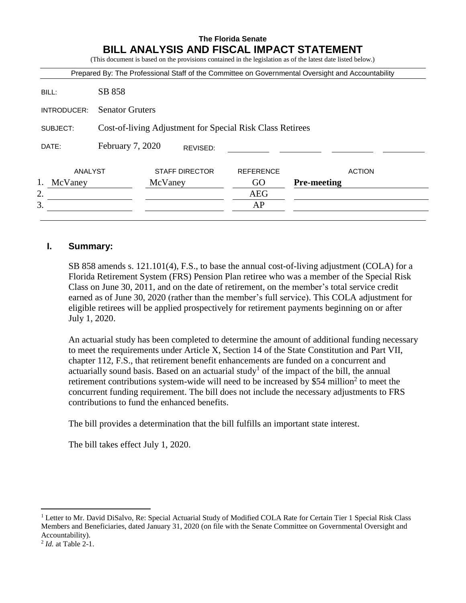# **The Florida Senate BILL ANALYSIS AND FISCAL IMPACT STATEMENT**

(This document is based on the provisions contained in the legislation as of the latest date listed below.)

|               |                                                           |                       |                  | Prepared By: The Professional Staff of the Committee on Governmental Oversight and Accountability |  |
|---------------|-----------------------------------------------------------|-----------------------|------------------|---------------------------------------------------------------------------------------------------|--|
| BILL:         | SB 858                                                    |                       |                  |                                                                                                   |  |
| INTRODUCER:   | <b>Senator Gruters</b>                                    |                       |                  |                                                                                                   |  |
| SUBJECT:      | Cost-of-living Adjustment for Special Risk Class Retirees |                       |                  |                                                                                                   |  |
| DATE:         | February 7, 2020                                          | REVISED:              |                  |                                                                                                   |  |
| ANALYST       |                                                           | <b>STAFF DIRECTOR</b> | <b>REFERENCE</b> | <b>ACTION</b>                                                                                     |  |
| 1.<br>McVaney |                                                           | McVaney               | GO               | <b>Pre-meeting</b>                                                                                |  |
| 2.            |                                                           |                       | <b>AEG</b>       |                                                                                                   |  |
| 3.            |                                                           |                       | AP               |                                                                                                   |  |

### **I. Summary:**

SB 858 amends s. 121.101(4), F.S., to base the annual cost-of-living adjustment (COLA) for a Florida Retirement System (FRS) Pension Plan retiree who was a member of the Special Risk Class on June 30, 2011, and on the date of retirement, on the member's total service credit earned as of June 30, 2020 (rather than the member's full service). This COLA adjustment for eligible retirees will be applied prospectively for retirement payments beginning on or after July 1, 2020.

An actuarial study has been completed to determine the amount of additional funding necessary to meet the requirements under Article X, Section 14 of the State Constitution and Part VII, chapter 112, F.S., that retirement benefit enhancements are funded on a concurrent and actuarially sound basis. Based on an actuarial study<sup>1</sup> of the impact of the bill, the annual retirement contributions system-wide will need to be increased by \$54 million<sup>2</sup> to meet the concurrent funding requirement. The bill does not include the necessary adjustments to FRS contributions to fund the enhanced benefits.

The bill provides a determination that the bill fulfills an important state interest.

The bill takes effect July 1, 2020.

 $\overline{a}$ 

<sup>&</sup>lt;sup>1</sup> Letter to Mr. David DiSalvo, Re: Special Actuarial Study of Modified COLA Rate for Certain Tier 1 Special Risk Class Members and Beneficiaries, dated January 31, 2020 (on file with the Senate Committee on Governmental Oversight and Accountability).

<sup>2</sup> *Id.* at Table 2-1.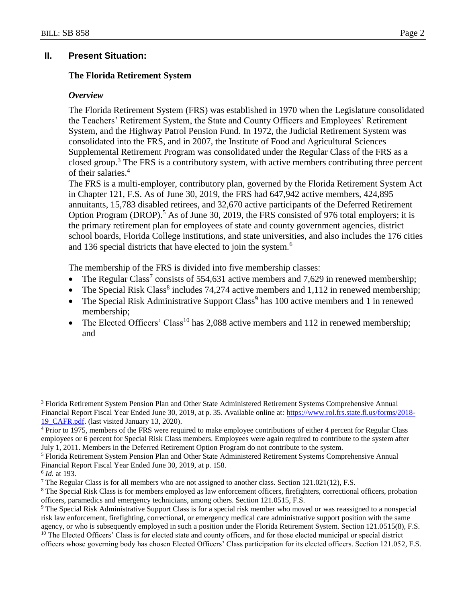# **II. Present Situation:**

## **The Florida Retirement System**

#### *Overview*

The Florida Retirement System (FRS) was established in 1970 when the Legislature consolidated the Teachers' Retirement System, the State and County Officers and Employees' Retirement System, and the Highway Patrol Pension Fund. In 1972, the Judicial Retirement System was consolidated into the FRS, and in 2007, the Institute of Food and Agricultural Sciences Supplemental Retirement Program was consolidated under the Regular Class of the FRS as a closed group.<sup>3</sup> The FRS is a contributory system, with active members contributing three percent of their salaries.<sup>4</sup>

The FRS is a multi-employer, contributory plan, governed by the Florida Retirement System Act in Chapter 121, F.S. As of June 30, 2019, the FRS had 647,942 active members, 424,895 annuitants, 15,783 disabled retirees, and 32,670 active participants of the Deferred Retirement Option Program (DROP).<sup>5</sup> As of June 30, 2019, the FRS consisted of 976 total employers; it is the primary retirement plan for employees of state and county government agencies, district school boards, Florida College institutions, and state universities, and also includes the 176 cities and 136 special districts that have elected to join the system.<sup>6</sup>

The membership of the FRS is divided into five membership classes:

- The Regular Class<sup>7</sup> consists of 554,631 active members and 7,629 in renewed membership;
- The Special Risk Class<sup>8</sup> includes  $74,274$  active members and  $1,112$  in renewed membership;
- The Special Risk Administrative Support Class<sup>9</sup> has 100 active members and 1 in renewed membership;
- The Elected Officers' Class<sup>10</sup> has 2,088 active members and 112 in renewed membership; and

 $\overline{a}$ 

<sup>3</sup> Florida Retirement System Pension Plan and Other State Administered Retirement Systems Comprehensive Annual Financial Report Fiscal Year Ended June 30, 2019, at p. 35. Available online at: [https://www.rol.frs.state.fl.us/forms/2018-](https://www.rol.frs.state.fl.us/forms/2018-19_CAFR.pdf) [19\\_CAFR.pdf.](https://www.rol.frs.state.fl.us/forms/2018-19_CAFR.pdf) (last visited January 13, 2020).

<sup>&</sup>lt;sup>4</sup> Prior to 1975, members of the FRS were required to make employee contributions of either 4 percent for Regular Class employees or 6 percent for Special Risk Class members. Employees were again required to contribute to the system after July 1, 2011. Members in the Deferred Retirement Option Program do not contribute to the system.

<sup>5</sup> Florida Retirement System Pension Plan and Other State Administered Retirement Systems Comprehensive Annual Financial Report Fiscal Year Ended June 30, 2019, at p. 158.

<sup>6</sup> *Id.* at 193.

<sup>&</sup>lt;sup>7</sup> The Regular Class is for all members who are not assigned to another class. Section  $121.021(12)$ , F.S.

<sup>&</sup>lt;sup>8</sup> The Special Risk Class is for members employed as law enforcement officers, firefighters, correctional officers, probation officers, paramedics and emergency technicians, among others. Section 121.0515, F.S.

<sup>9</sup> The Special Risk Administrative Support Class is for a special risk member who moved or was reassigned to a nonspecial risk law enforcement, firefighting, correctional, or emergency medical care administrative support position with the same agency, or who is subsequently employed in such a position under the Florida Retirement System. Section 121.0515(8), F.S.

<sup>&</sup>lt;sup>10</sup> The Elected Officers' Class is for elected state and county officers, and for those elected municipal or special district officers whose governing body has chosen Elected Officers' Class participation for its elected officers. Section 121.052, F.S.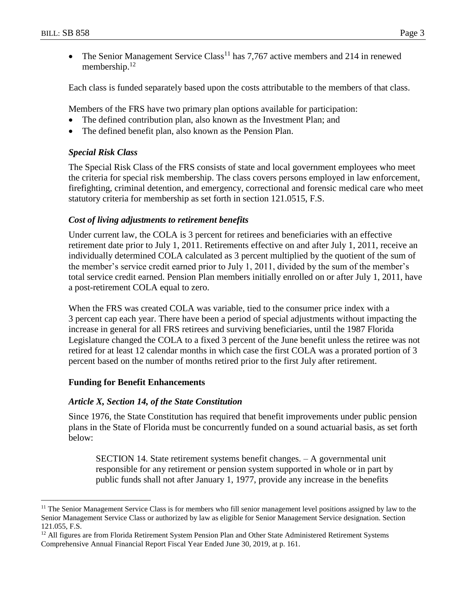$\overline{a}$ 

• The Senior Management Service Class<sup>11</sup> has 7,767 active members and 214 in renewed membership.<sup>12</sup>

Each class is funded separately based upon the costs attributable to the members of that class.

Members of the FRS have two primary plan options available for participation:

- The defined contribution plan, also known as the Investment Plan; and
- The defined benefit plan, also known as the Pension Plan.

# *Special Risk Class*

The Special Risk Class of the FRS consists of state and local government employees who meet the criteria for special risk membership. The class covers persons employed in law enforcement, firefighting, criminal detention, and emergency, correctional and forensic medical care who meet statutory criteria for membership as set forth in section 121.0515, F.S.

## *Cost of living adjustments to retirement benefits*

Under current law, the COLA is 3 percent for retirees and beneficiaries with an effective retirement date prior to July 1, 2011. Retirements effective on and after July 1, 2011, receive an individually determined COLA calculated as 3 percent multiplied by the quotient of the sum of the member's service credit earned prior to July 1, 2011, divided by the sum of the member's total service credit earned. Pension Plan members initially enrolled on or after July 1, 2011, have a post-retirement COLA equal to zero.

When the FRS was created COLA was variable, tied to the consumer price index with a 3 percent cap each year. There have been a period of special adjustments without impacting the increase in general for all FRS retirees and surviving beneficiaries, until the 1987 Florida Legislature changed the COLA to a fixed 3 percent of the June benefit unless the retiree was not retired for at least 12 calendar months in which case the first COLA was a prorated portion of 3 percent based on the number of months retired prior to the first July after retirement.

### **Funding for Benefit Enhancements**

# *Article X, Section 14, of the State Constitution*

Since 1976, the State Constitution has required that benefit improvements under public pension plans in the State of Florida must be concurrently funded on a sound actuarial basis, as set forth below:

SECTION 14. State retirement systems benefit changes. – A governmental unit responsible for any retirement or pension system supported in whole or in part by public funds shall not after January 1, 1977, provide any increase in the benefits

<sup>&</sup>lt;sup>11</sup> The Senior Management Service Class is for members who fill senior management level positions assigned by law to the Senior Management Service Class or authorized by law as eligible for Senior Management Service designation. Section 121.055, F.S.

<sup>&</sup>lt;sup>12</sup> All figures are from Florida Retirement System Pension Plan and Other State Administered Retirement Systems Comprehensive Annual Financial Report Fiscal Year Ended June 30, 2019, at p. 161.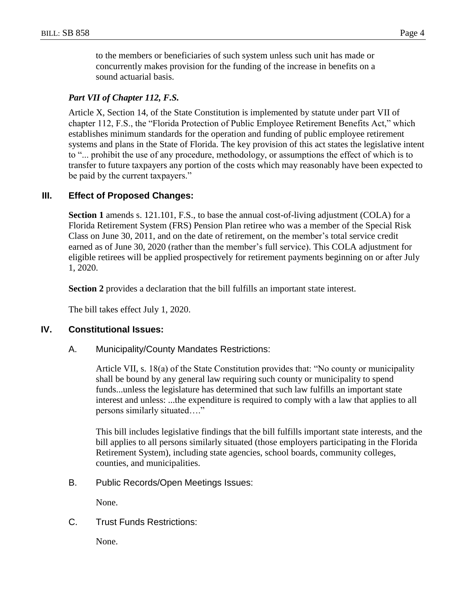to the members or beneficiaries of such system unless such unit has made or concurrently makes provision for the funding of the increase in benefits on a sound actuarial basis.

## *Part VII of Chapter 112, F.S.*

Article X, Section 14, of the State Constitution is implemented by statute under part VII of chapter 112, F.S., the "Florida Protection of Public Employee Retirement Benefits Act," which establishes minimum standards for the operation and funding of public employee retirement systems and plans in the State of Florida. The key provision of this act states the legislative intent to "... prohibit the use of any procedure, methodology, or assumptions the effect of which is to transfer to future taxpayers any portion of the costs which may reasonably have been expected to be paid by the current taxpayers."

### **III. Effect of Proposed Changes:**

**Section 1** amends s. 121.101, F.S., to base the annual cost-of-living adjustment (COLA) for a Florida Retirement System (FRS) Pension Plan retiree who was a member of the Special Risk Class on June 30, 2011, and on the date of retirement, on the member's total service credit earned as of June 30, 2020 (rather than the member's full service). This COLA adjustment for eligible retirees will be applied prospectively for retirement payments beginning on or after July 1, 2020.

**Section 2** provides a declaration that the bill fulfills an important state interest.

The bill takes effect July 1, 2020.

#### **IV. Constitutional Issues:**

A. Municipality/County Mandates Restrictions:

Article VII, s. 18(a) of the State Constitution provides that: "No county or municipality shall be bound by any general law requiring such county or municipality to spend funds...unless the legislature has determined that such law fulfills an important state interest and unless: ...the expenditure is required to comply with a law that applies to all persons similarly situated…."

This bill includes legislative findings that the bill fulfills important state interests, and the bill applies to all persons similarly situated (those employers participating in the Florida Retirement System), including state agencies, school boards, community colleges, counties, and municipalities.

B. Public Records/Open Meetings Issues:

None.

### C. Trust Funds Restrictions:

None.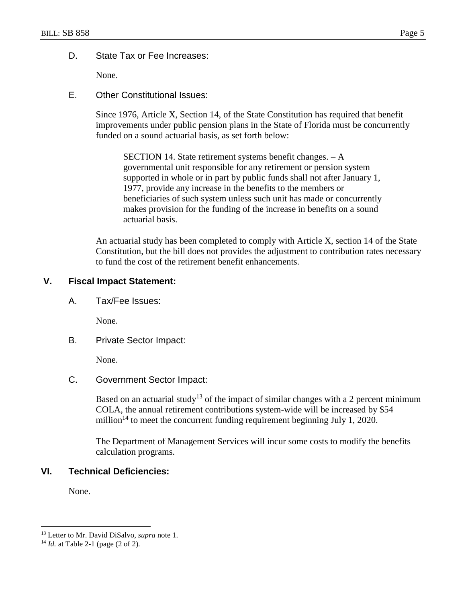## D. State Tax or Fee Increases:

None.

E. Other Constitutional Issues:

Since 1976, Article X, Section 14, of the State Constitution has required that benefit improvements under public pension plans in the State of Florida must be concurrently funded on a sound actuarial basis, as set forth below:

SECTION 14. State retirement systems benefit changes. – A governmental unit responsible for any retirement or pension system supported in whole or in part by public funds shall not after January 1, 1977, provide any increase in the benefits to the members or beneficiaries of such system unless such unit has made or concurrently makes provision for the funding of the increase in benefits on a sound actuarial basis.

An actuarial study has been completed to comply with Article X, section 14 of the State Constitution, but the bill does not provides the adjustment to contribution rates necessary to fund the cost of the retirement benefit enhancements.

# **V. Fiscal Impact Statement:**

A. Tax/Fee Issues:

None.

B. Private Sector Impact:

None.

C. Government Sector Impact:

Based on an actuarial study<sup>13</sup> of the impact of similar changes with a 2 percent minimum COLA, the annual retirement contributions system-wide will be increased by \$54 million<sup>14</sup> to meet the concurrent funding requirement beginning July 1, 2020.

The Department of Management Services will incur some costs to modify the benefits calculation programs.

# **VI. Technical Deficiencies:**

None.

 $\overline{a}$ 

<sup>13</sup> Letter to Mr. David DiSalvo, *supra* note 1.

<sup>14</sup> *Id.* at Table 2-1 (page (2 of 2).